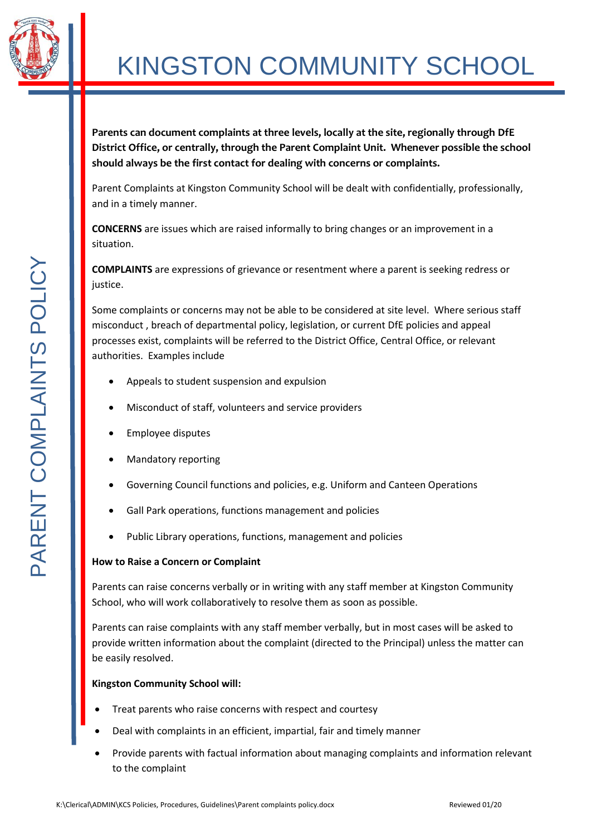

# KINGSTON COMMUNITY SCHOOL

**Parents can document complaints at three levels, locally at the site, regionally through DfE District Office, or centrally, through the Parent Complaint Unit. Whenever possible the school should always be the first contact for dealing with concerns or complaints.**

Parent Complaints at Kingston Community School will be dealt with confidentially, professionally, and in a timely manner.

**CONCERNS** are issues which are raised informally to bring changes or an improvement in a situation.

**COMPLAINTS** are expressions of grievance or resentment where a parent is seeking redress or justice.

Some complaints or concerns may not be able to be considered at site level. Where serious staff misconduct , breach of departmental policy, legislation, or current DfE policies and appeal processes exist, complaints will be referred to the District Office, Central Office, or relevant authorities. Examples include

- Appeals to student suspension and expulsion
- Misconduct of staff, volunteers and service providers
- Employee disputes
- Mandatory reporting
- Governing Council functions and policies, e.g. Uniform and Canteen Operations
- Gall Park operations, functions management and policies
- Public Library operations, functions, management and policies

## **How to Raise a Concern or Complaint**

Parents can raise concerns verbally or in writing with any staff member at Kingston Community School, who will work collaboratively to resolve them as soon as possible.

Parents can raise complaints with any staff member verbally, but in most cases will be asked to provide written information about the complaint (directed to the Principal) unless the matter can be easily resolved.

## **Kingston Community School will:**

- Treat parents who raise concerns with respect and courtesy
- Deal with complaints in an efficient, impartial, fair and timely manner
- Provide parents with factual information about managing complaints and information relevant to the complaint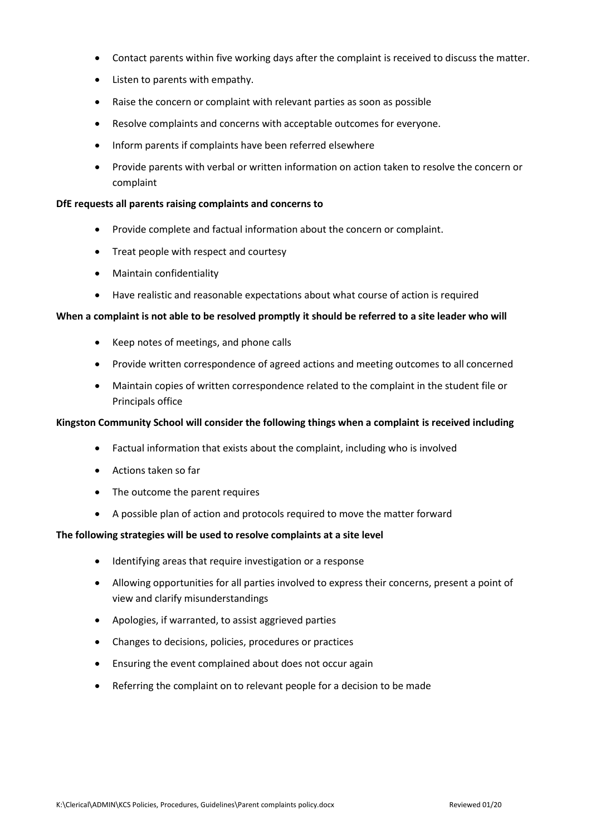- Contact parents within five working days after the complaint is received to discuss the matter.
- Listen to parents with empathy.
- Raise the concern or complaint with relevant parties as soon as possible
- Resolve complaints and concerns with acceptable outcomes for everyone.
- Inform parents if complaints have been referred elsewhere
- Provide parents with verbal or written information on action taken to resolve the concern or complaint

#### **DfE requests all parents raising complaints and concerns to**

- Provide complete and factual information about the concern or complaint.
- Treat people with respect and courtesy
- Maintain confidentiality
- Have realistic and reasonable expectations about what course of action is required

#### **When a complaint is not able to be resolved promptly it should be referred to a site leader who will**

- Keep notes of meetings, and phone calls
- Provide written correspondence of agreed actions and meeting outcomes to all concerned
- Maintain copies of written correspondence related to the complaint in the student file or Principals office

#### **Kingston Community School will consider the following things when a complaint is received including**

- Factual information that exists about the complaint, including who is involved
- Actions taken so far
- The outcome the parent requires
- A possible plan of action and protocols required to move the matter forward

#### **The following strategies will be used to resolve complaints at a site level**

- Identifying areas that require investigation or a response
- Allowing opportunities for all parties involved to express their concerns, present a point of view and clarify misunderstandings
- Apologies, if warranted, to assist aggrieved parties
- Changes to decisions, policies, procedures or practices
- Ensuring the event complained about does not occur again
- Referring the complaint on to relevant people for a decision to be made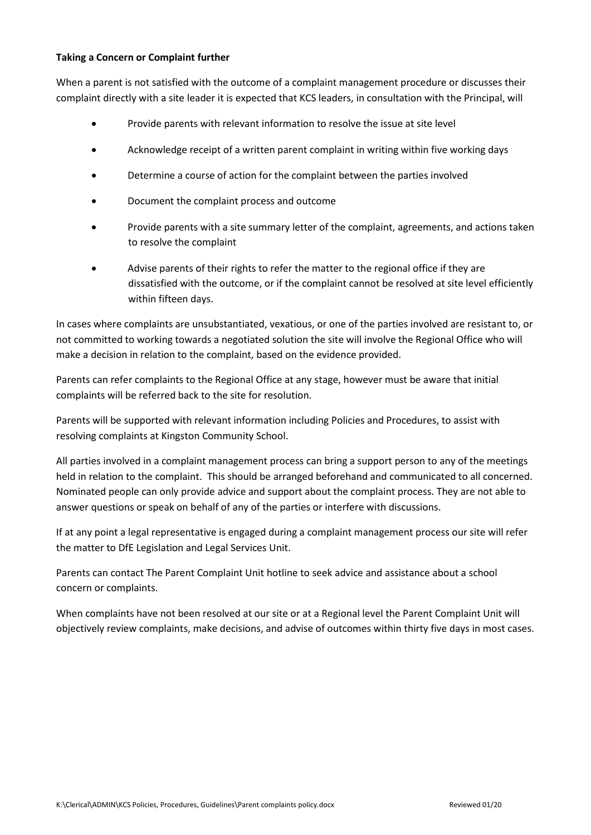#### **Taking a Concern or Complaint further**

When a parent is not satisfied with the outcome of a complaint management procedure or discusses their complaint directly with a site leader it is expected that KCS leaders, in consultation with the Principal, will

- Provide parents with relevant information to resolve the issue at site level
- Acknowledge receipt of a written parent complaint in writing within five working days
- Determine a course of action for the complaint between the parties involved
- Document the complaint process and outcome
- Provide parents with a site summary letter of the complaint, agreements, and actions taken to resolve the complaint
- Advise parents of their rights to refer the matter to the regional office if they are dissatisfied with the outcome, or if the complaint cannot be resolved at site level efficiently within fifteen days.

In cases where complaints are unsubstantiated, vexatious, or one of the parties involved are resistant to, or not committed to working towards a negotiated solution the site will involve the Regional Office who will make a decision in relation to the complaint, based on the evidence provided.

Parents can refer complaints to the Regional Office at any stage, however must be aware that initial complaints will be referred back to the site for resolution.

Parents will be supported with relevant information including Policies and Procedures, to assist with resolving complaints at Kingston Community School.

All parties involved in a complaint management process can bring a support person to any of the meetings held in relation to the complaint. This should be arranged beforehand and communicated to all concerned. Nominated people can only provide advice and support about the complaint process. They are not able to answer questions or speak on behalf of any of the parties or interfere with discussions.

If at any point a legal representative is engaged during a complaint management process our site will refer the matter to DfE Legislation and Legal Services Unit.

Parents can contact The Parent Complaint Unit hotline to seek advice and assistance about a school concern or complaints.

When complaints have not been resolved at our site or at a Regional level the Parent Complaint Unit will objectively review complaints, make decisions, and advise of outcomes within thirty five days in most cases.